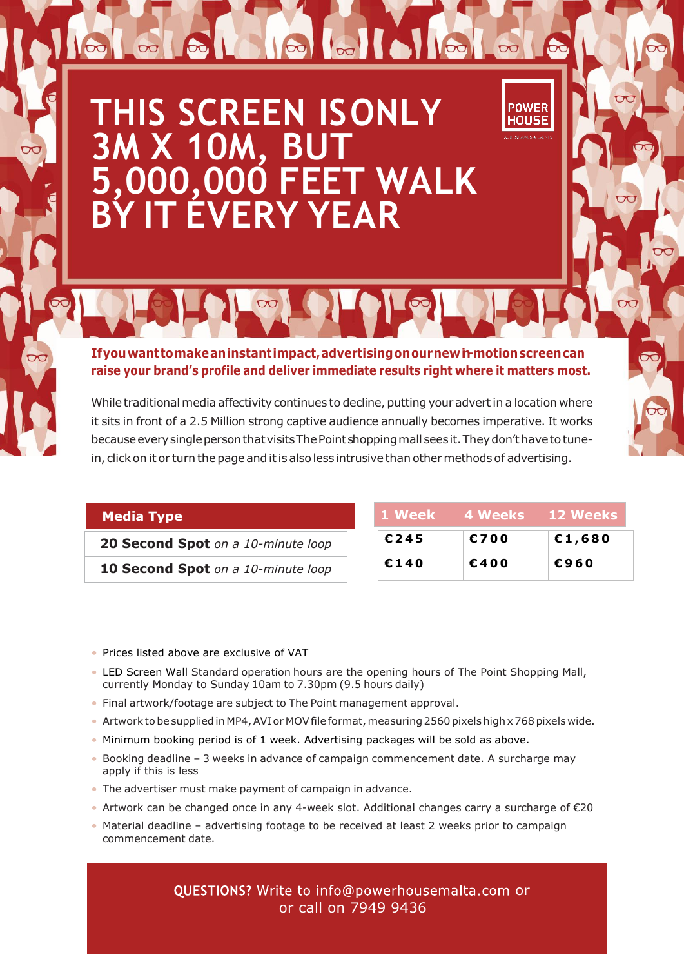## **THIS SCREEN ISONLY**  3M X 10M, BI **5,000,000 FEET WALK BY IT EVERY YEAR**

**Ifyouwanttomakeaninstantimpact,advertisingonournewin-motionscreencan raise your brand's profile and deliver immediate results right where it matters most.**

 $\sim$ 

While traditional media affectivity continues to decline, putting your advert in a location where it sits in front of a 2.5 Million strong captive audience annually becomes imperative. It works because every single person that visits The Point shopping mall sees it. They don't have to tunein, click on it or turn the page and it is also less intrusive than other methods of advertising.

## **Media Type**

**20 Second Spot** *on a 10-minute loop*

**10 Second Spot** *on a 10-minute loop*

| 1 Week | 4 Weeks | <b>12 Weeks</b> |
|--------|---------|-----------------|
| €245   | €700    | €1,680          |
| €140   | €400    | €960            |

**POWER** 1011SF

- Prices listed above are exclusive of VAT
- LED Screen Wall Standard operation hours are the opening hours of The Point Shopping Mall, currently Monday to Sunday 10am to 7.30pm (9.5 hours daily)
- Final artwork/footage are subject to The Point management approval.
- Artwork to be supplied in MP4, AVI or MOV file format, measuring 2560 pixels high x 768 pixels wide.
- Minimum booking period is of 1 week. Advertising packages will be sold as above.
- Booking deadline 3 weeks in advance of campaign commencement date. A surcharge may apply if this is less
- The advertiser must make payment of campaign in advance.
- Artwork can be changed once in any 4-week slot. Additional changes carry a surcharge of €20
- Material deadline advertising footage to be received at least 2 weeks prior to campaign commencement date.

QUESTIONS? Write to info@powerhousemalta.com or or call on 7949 9436